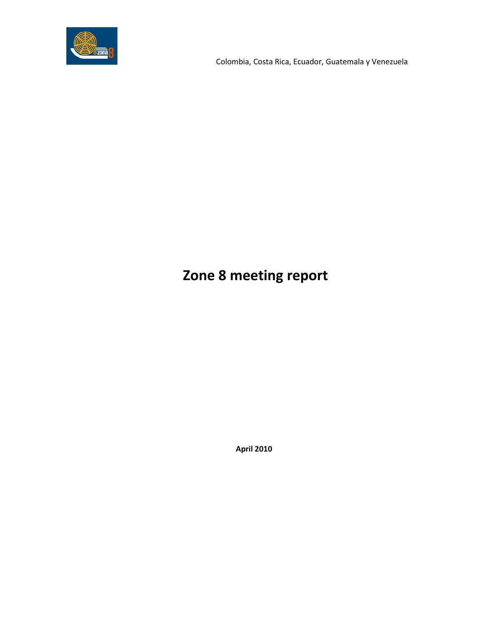

Colombia, Costa Rica, Ecuador, Guatemala y Venezuela

## **Zone 8 meeting report**

 **April 2010**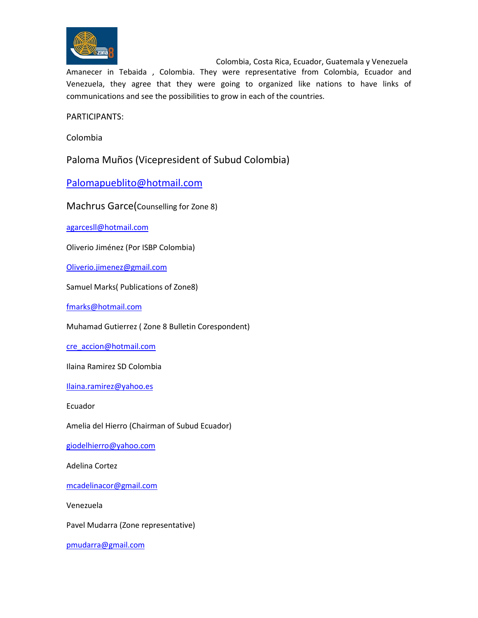

 Colombia, Costa Rica, Ecuador, Guatemala y Venezuela Amanecer in Tebaida , Colombia. They were representative from Colombia, Ecuador and Venezuela, they agree that they were going to organized like nations to have links of communications and see the possibilities to grow in each of the countries.

PARTICIPANTS:

Colombia

Paloma Muños (Vicepresident of Subud Colombia)

[Palomapueblito@hotmail.com](mailto:Palomapueblito@hotmail.com)

Machrus Garce(Counselling for Zone 8)

[agarcesll@hotmail.com](mailto:agarcesll@hotmail.com)

Oliverio Jiménez (Por ISBP Colombia)

[Oliverio.jimenez@gmail.com](mailto:Oliverio.jimenez@gmail.com)

Samuel Marks( Publications of Zone8)

[fmarks@hotmail.com](mailto:fmarks@hotmail.com)

Muhamad Gutierrez ( Zone 8 Bulletin Corespondent)

[cre\\_accion@hotmail.com](mailto:cre_accion@hotmail.com)

Ilaina Ramirez SD Colombia

[Ilaina.ramirez@yahoo.es](mailto:Ilaina.ramirez@yahoo.es)

Ecuador

Amelia del Hierro (Chairman of Subud Ecuador)

[giodelhierro@yahoo.com](mailto:giodelhierro@yahoo.com)

Adelina Cortez

[mcadelinacor@gmail.com](mailto:mcadelinacor@gmail.com)

Venezuela

Pavel Mudarra (Zone representative)

[pmudarra@gmail.com](mailto:pmudarra@gmail.com)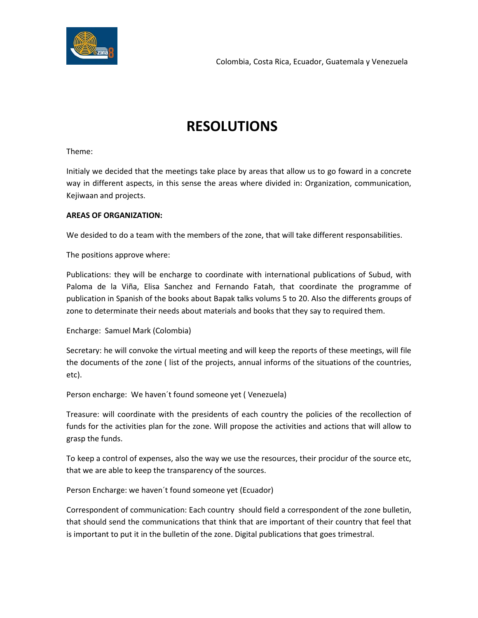

## **RESOLUTIONS**

Theme:

Initialy we decided that the meetings take place by areas that allow us to go foward in a concrete way in different aspects, in this sense the areas where divided in: Organization, communication, Kejiwaan and projects.

## **AREAS OF ORGANIZATION:**

We desided to do a team with the members of the zone, that will take different responsabilities.

The positions approve where:

Publications: they will be encharge to coordinate with international publications of Subud, with Paloma de la Viña, Elisa Sanchez and Fernando Fatah, that coordinate the programme of publication in Spanish of the books about Bapak talks volums 5 to 20. Also the differents groups of zone to determinate their needs about materials and books that they say to required them.

Encharge: Samuel Mark (Colombia)

Secretary: he will convoke the virtual meeting and will keep the reports of these meetings, will file the documents of the zone ( list of the projects, annual informs of the situations of the countries, etc).

Person encharge: We haven´t found someone yet ( Venezuela)

Treasure: will coordinate with the presidents of each country the policies of the recollection of funds for the activities plan for the zone. Will propose the activities and actions that will allow to grasp the funds.

To keep a control of expenses, also the way we use the resources, their procidur of the source etc, that we are able to keep the transparency of the sources.

Person Encharge: we haven´t found someone yet (Ecuador)

Correspondent of communication: Each country should field a correspondent of the zone bulletin, that should send the communications that think that are important of their country that feel that is important to put it in the bulletin of the zone. Digital publications that goes trimestral.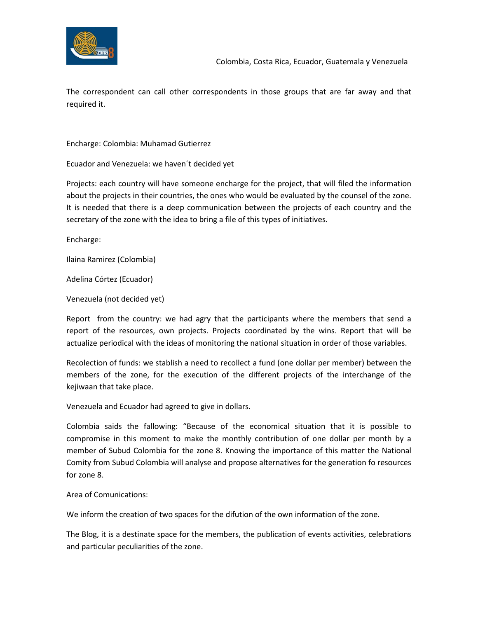

The correspondent can call other correspondents in those groups that are far away and that required it.

Encharge: Colombia: Muhamad Gutierrez

Ecuador and Venezuela: we haven´t decided yet

Projects: each country will have someone encharge for the project, that will filed the information about the projects in their countries, the ones who would be evaluated by the counsel of the zone. It is needed that there is a deep communication between the projects of each country and the secretary of the zone with the idea to bring a file of this types of initiatives.

Encharge:

Ilaina Ramirez (Colombia)

Adelina Córtez (Ecuador)

Venezuela (not decided yet)

Report from the country: we had agry that the participants where the members that send a report of the resources, own projects. Projects coordinated by the wins. Report that will be actualize periodical with the ideas of monitoring the national situation in order of those variables.

Recolection of funds: we stablish a need to recollect a fund (one dollar per member) between the members of the zone, for the execution of the different projects of the interchange of the kejiwaan that take place.

Venezuela and Ecuador had agreed to give in dollars.

Colombia saids the fallowing: "Because of the economical situation that it is possible to compromise in this moment to make the monthly contribution of one dollar per month by a member of Subud Colombia for the zone 8. Knowing the importance of this matter the National Comity from Subud Colombia will analyse and propose alternatives for the generation fo resources for zone 8.

Area of Comunications:

We inform the creation of two spaces for the difution of the own information of the zone.

The Blog, it is a destinate space for the members, the publication of events activities, celebrations and particular peculiarities of the zone.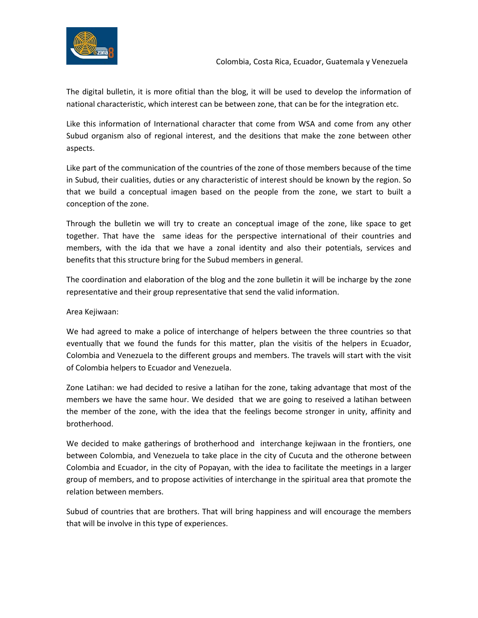

The digital bulletin, it is more ofitial than the blog, it will be used to develop the information of national characteristic, which interest can be between zone, that can be for the integration etc.

Like this information of International character that come from WSA and come from any other Subud organism also of regional interest, and the desitions that make the zone between other aspects.

Like part of the communication of the countries of the zone of those members because of the time in Subud, their cualities, duties or any characteristic of interest should be known by the region. So that we build a conceptual imagen based on the people from the zone, we start to built a conception of the zone.

Through the bulletin we will try to create an conceptual image of the zone, like space to get together. That have the same ideas for the perspective international of their countries and members, with the ida that we have a zonal identity and also their potentials, services and benefits that this structure bring for the Subud members in general.

The coordination and elaboration of the blog and the zone bulletin it will be incharge by the zone representative and their group representative that send the valid information.

Area Kejiwaan:

We had agreed to make a police of interchange of helpers between the three countries so that eventually that we found the funds for this matter, plan the visitis of the helpers in Ecuador, Colombia and Venezuela to the different groups and members. The travels will start with the visit of Colombia helpers to Ecuador and Venezuela.

Zone Latihan: we had decided to resive a latihan for the zone, taking advantage that most of the members we have the same hour. We desided that we are going to reseived a latihan between the member of the zone, with the idea that the feelings become stronger in unity, affinity and brotherhood.

We decided to make gatherings of brotherhood and interchange kejiwaan in the frontiers, one between Colombia, and Venezuela to take place in the city of Cucuta and the otherone between Colombia and Ecuador, in the city of Popayan, with the idea to facilitate the meetings in a larger group of members, and to propose activities of interchange in the spiritual area that promote the relation between members.

Subud of countries that are brothers. That will bring happiness and will encourage the members that will be involve in this type of experiences.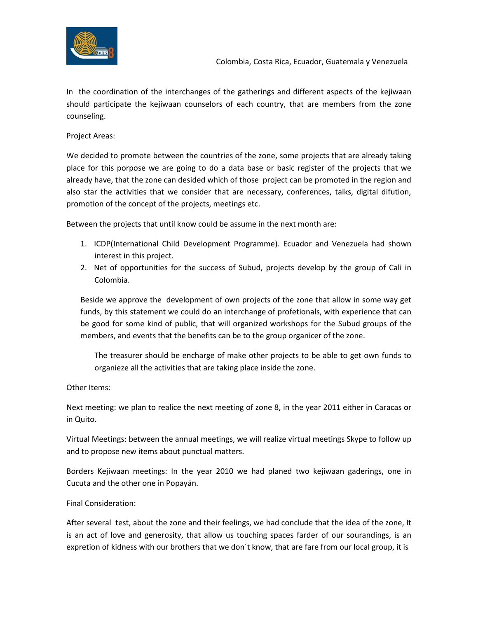

In the coordination of the interchanges of the gatherings and different aspects of the kejiwaan should participate the kejiwaan counselors of each country, that are members from the zone counseling.

Project Areas:

We decided to promote between the countries of the zone, some projects that are already taking place for this porpose we are going to do a data base or basic register of the projects that we already have, that the zone can desided which of those project can be promoted in the region and also star the activities that we consider that are necessary, conferences, talks, digital difution, promotion of the concept of the projects, meetings etc.

Between the projects that until know could be assume in the next month are:

- 1. ICDP(International Child Development Programme). Ecuador and Venezuela had shown interest in this project.
- 2. Net of opportunities for the success of Subud, projects develop by the group of Cali in Colombia.

Beside we approve the development of own projects of the zone that allow in some way get funds, by this statement we could do an interchange of profetionals, with experience that can be good for some kind of public, that will organized workshops for the Subud groups of the members, and events that the benefits can be to the group organicer of the zone.

The treasurer should be encharge of make other projects to be able to get own funds to organieze all the activities that are taking place inside the zone.

Other Items:

Next meeting: we plan to realice the next meeting of zone 8, in the year 2011 either in Caracas or in Quito.

Virtual Meetings: between the annual meetings, we will realize virtual meetings Skype to follow up and to propose new items about punctual matters.

Borders Kejiwaan meetings: In the year 2010 we had planed two kejiwaan gaderings, one in Cucuta and the other one in Popayán.

## Final Consideration:

After several test, about the zone and their feelings, we had conclude that the idea of the zone, It is an act of love and generosity, that allow us touching spaces farder of our sourandings, is an expretion of kidness with our brothers that we don´t know, that are fare from our local group, it is